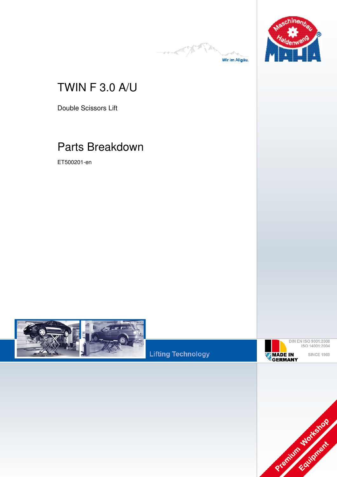



## TWIN F 3.0 A/U

Double Scissors Lift

# Parts Breakdown

ET500201-en



**Lifting Technology** 

**Fehler! Verwenden Sie die Registerkarte 'Start', um Name dem Text zuzuweisen, der hier angezeigt werden soll.Fehler! Verwenden Sie die Registerkarte 'Start', um Name dem Text zuzuweisen, der hier** 

**angezeigt werden soll.Fehler! Verwenden Sie die Registerkarte 'Start', um Name dem Text** 



**zuzuweisen, der hier angezeigt werden soll.**

DIN EN ISO 9001:2008<br>ISO 14001:2004 **SINCE 1969**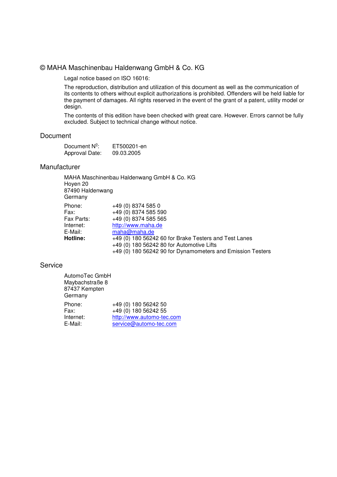#### © MAHA Maschinenbau Haldenwang GmbH & Co. KG

Legal notice based on ISO 16016:

The reproduction, distribution and utilization of this document as well as the communication of its contents to others without explicit authorizations is prohibited. Offenders will be held liable for the payment of damages. All rights reserved in the event of the grant of a patent, utility model or design.

The contents of this edition have been checked with great care. However. Errors cannot be fully excluded. Subject to technical change without notice.

#### Document

| Document $N^{\circ}$ : | ET500201-en |
|------------------------|-------------|
| Approval Date:         | 09.03.2005  |

#### Manufacturer

MAHA Maschinenbau Haldenwang GmbH & Co. KG Hoyen 20 87490 Haldenwang Germany Phone: +49 (0) 8374 585 0 Fax: +49 (0) 8374 585 590 Fax Parts: +49 (0) 8374 585 565 Internet: http://www.maha.de E-Mail: maha@maha.de **Hotline:** +49 (0) 180 56242 60 for Brake Testers and Test Lanes +49 (0) 180 56242 80 for Automotive Lifts +49 (0) 180 56242 90 for Dynamometers and Emission Testers

#### Service

| AutomoTec GmbH<br>Maybachstraße 8<br>87437 Kempten<br>Germany |                                              |
|---------------------------------------------------------------|----------------------------------------------|
| Phone:<br>Fax:                                                | +49 (0) 180 56242 50<br>+49 (0) 180 56242 55 |
| Internet:                                                     | http://www.automo-tec.com                    |
| E-Mail:                                                       | service@automo-tec.com                       |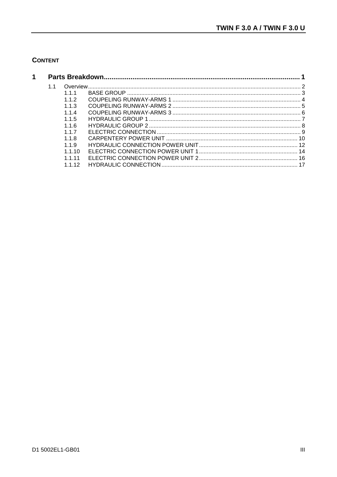#### **CONTENT**

| 1 |    |         |  |
|---|----|---------|--|
|   | 11 |         |  |
|   |    | 111     |  |
|   |    | 112     |  |
|   |    | 113     |  |
|   |    | 114     |  |
|   |    | 115     |  |
|   |    | 1.1.6   |  |
|   |    | 117     |  |
|   |    | 118     |  |
|   |    | 119     |  |
|   |    | 1 1 1 0 |  |
|   |    | 1 1 1 1 |  |
|   |    | 1 1 1 2 |  |
|   |    |         |  |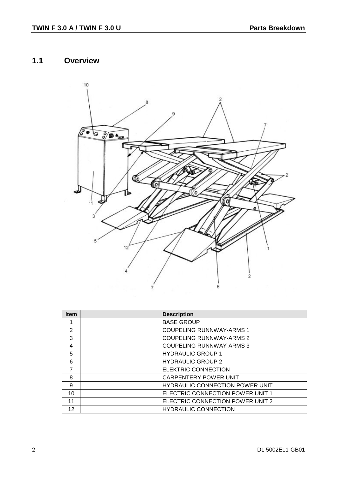## **1.1 Overview**



| <b>Item</b> | <b>Description</b>                     |
|-------------|----------------------------------------|
|             | <b>BASE GROUP</b>                      |
| 2           | <b>COUPELING RUNNWAY-ARMS 1</b>        |
| 3           | <b>COUPELING RUNNWAY-ARMS 2</b>        |
| 4           | <b>COUPELING RUNNWAY-ARMS 3</b>        |
| 5           | <b>HYDRAULIC GROUP 1</b>               |
| 6           | <b>HYDRAULIC GROUP 2</b>               |
| 7           | <b>ELEKTRIC CONNECTION</b>             |
| 8           | <b>CARPENTERY POWER UNIT</b>           |
| 9           | <b>HYDRAULIC CONNECTION POWER UNIT</b> |
| 10          | ELECTRIC CONNECTION POWER UNIT 1       |
| 11          | ELECTRIC CONNECTION POWER UNIT 2       |
| 12          | <b>HYDRAULIC CONNECTION</b>            |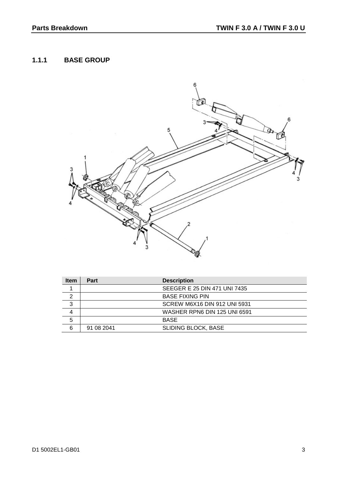#### **1.1.1 BASE GROUP**



| <b>Item</b> | Part       | <b>Description</b>                  |
|-------------|------------|-------------------------------------|
|             |            | SEEGER E 25 DIN 471 UNI 7435        |
| 2           |            | <b>BASE FIXING PIN</b>              |
| 3           |            | <b>SCREW M6X16 DIN 912 UNI 5931</b> |
|             |            | WASHER RPN6 DIN 125 UNI 6591        |
| 5           |            | <b>BASE</b>                         |
| 6           | 91 08 2041 | <b>SLIDING BLOCK, BASE</b>          |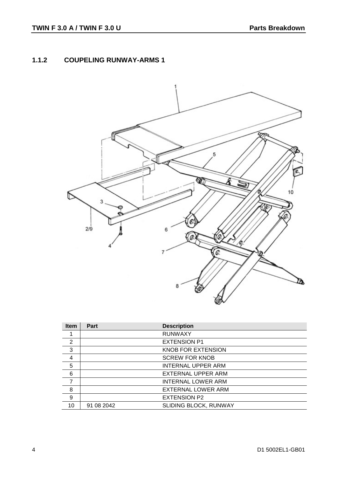#### **1.1.2 COUPELING RUNWAY-ARMS 1**



| <b>Item</b>    | Part       | <b>Description</b>        |
|----------------|------------|---------------------------|
|                |            | <b>RUNWAXY</b>            |
| 2              |            | <b>EXTENSION P1</b>       |
| 3              |            | KNOB FOR EXTENSION        |
| 4              |            | <b>SCREW FOR KNOB</b>     |
| 5              |            | <b>INTERNAL UPPER ARM</b> |
| 6              |            | EXTERNAL UPPER ARM        |
| $\overline{ }$ |            | <b>INTERNAL LOWER ARM</b> |
| 8              |            | <b>EXTERNAL LOWER ARM</b> |
| 9              |            | <b>EXTENSION P2</b>       |
| 10             | 91 08 2042 | SLIDING BLOCK, RUNWAY     |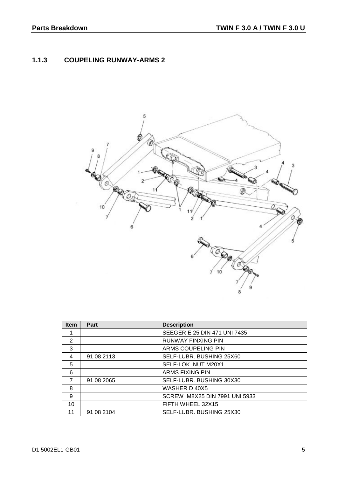### **1.1.3 COUPELING RUNWAY-ARMS 2**



| <b>Item</b>    | <b>Part</b> | <b>Description</b>            |
|----------------|-------------|-------------------------------|
|                |             | SEEGER E 25 DIN 471 UNI 7435  |
| 2              |             | <b>RUNWAY FINXING PIN</b>     |
| 3              |             | ARMS COUPELING PIN            |
| 4              | 91 08 2113  | SELF-LUBR. BUSHING 25X60      |
| 5              |             | SELF-LOK. NUT M20X1           |
| 6              |             | ARMS FIXING PIN               |
| $\overline{7}$ | 91 08 2065  | SELF-LUBR. BUSHING 30X30      |
| 8              |             | WASHER D 40X5                 |
| 9              |             | SCREW M8X25 DIN 7991 UNI 5933 |
| 10             |             | FIFTH WHEEL 32X15             |
| 11             | 91 08 2104  | SELF-LUBR, BUSHING 25X30      |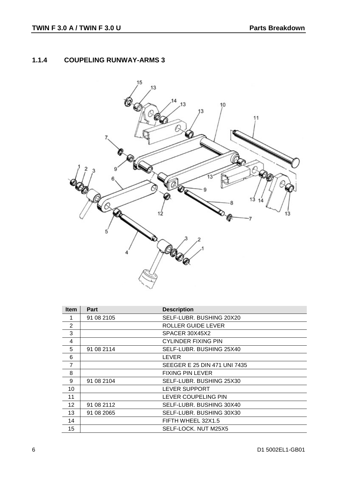### **1.1.4 COUPELING RUNWAY-ARMS 3**



| <b>Item</b>     | <b>Part</b> | <b>Description</b>           |
|-----------------|-------------|------------------------------|
|                 | 91 08 2105  | SELF-LUBR. BUSHING 20X20     |
| 2               |             | ROLLER GUIDE LEVER           |
| 3               |             | SPACER 30X45X2               |
| 4               |             | <b>CYLINDER FIXING PIN</b>   |
| 5               | 91 08 2114  | SELF-LUBR. BUSHING 25X40     |
| 6               |             | LEVER                        |
| 7               |             | SEEGER E 25 DIN 471 UNI 7435 |
| 8               |             | <b>FIXING PIN LEVER</b>      |
| 9               | 91 08 2104  | SELF-LUBR. BUSHING 25X30     |
| 10              |             | LEVER SUPPORT                |
| 11              |             | LEVER COUPELING PIN          |
| 12 <sup>2</sup> | 91 08 2112  | SELF-LUBR. BUSHING 30X40     |
| 13              | 91 08 2065  | SELF-LUBR. BUSHING 30X30     |
| 14              |             | FIFTH WHEEL 32X1.5           |
| 15              |             | SELF-LOCK. NUT M25X5         |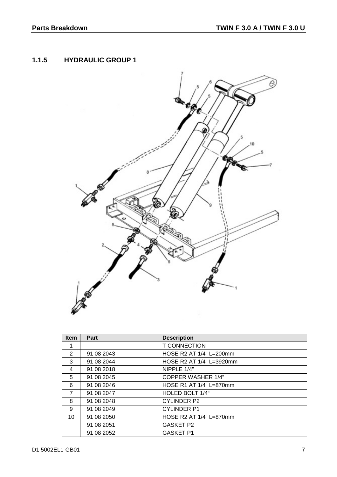#### **1.1.5 HYDRAULIC GROUP 1**



| <b>Item</b>    | <b>Part</b> | <b>Description</b>         |
|----------------|-------------|----------------------------|
| 1              |             | <b>T CONNECTION</b>        |
| 2              | 91 08 2043  | HOSE R2 AT $1/4$ " L=200mm |
| 3              | 91 08 2044  | HOSE R2 AT 1/4" L=3920mm   |
| 4              | 91 08 2018  | NIPPLE 1/4"                |
| 5              | 91 08 2045  | <b>COPPER WASHER 1/4"</b>  |
| 6              | 91 08 2046  | HOSE R1 AT 1/4" L=870mm    |
| $\overline{7}$ | 91 08 2047  | HOLED BOLT 1/4"            |
| 8              | 91 08 2048  | <b>CYLINDER P2</b>         |
| 9              | 91 08 2049  | <b>CYLINDER P1</b>         |
| 10             | 91 08 2050  | HOSE R2 AT 1/4" L=870mm    |
|                | 91 08 2051  | <b>GASKET P2</b>           |
|                | 91 08 2052  | <b>GASKET P1</b>           |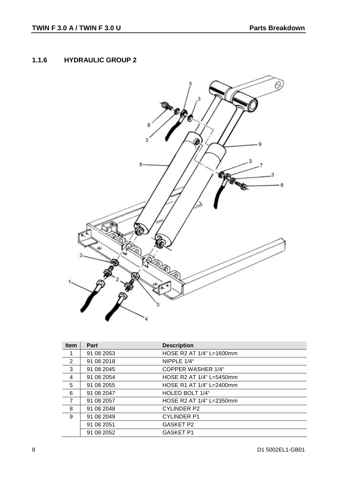#### **1.1.6 HYDRAULIC GROUP 2**



| <b>Item</b>    | <b>Part</b> | <b>Description</b>        |
|----------------|-------------|---------------------------|
| 1              | 91 08 2053  | HOSE R2 AT 1/4" L=1600mm  |
| 2              | 91 08 2018  | NIPPLE 1/4"               |
| 3              | 91 08 2045  | <b>COPPER WASHER 1/4"</b> |
| 4              | 91 08 2054  | HOSE R2 AT 1/4" L=5450mm  |
| 5              | 91 08 2055  | HOSE R1 AT 1/4" L=2400mm  |
| 6              | 91 08 2047  | HOLED BOLT 1/4"           |
| $\overline{7}$ | 91 08 2057  | HOSE R2 AT 1/4" L=2350mm  |
| 8              | 91 08 2048  | <b>CYLINDER P2</b>        |
| 9              | 91 08 2049  | <b>CYLINDER P1</b>        |
|                | 91 08 2051  | <b>GASKET P2</b>          |
|                | 91 08 2052  | <b>GASKET P1</b>          |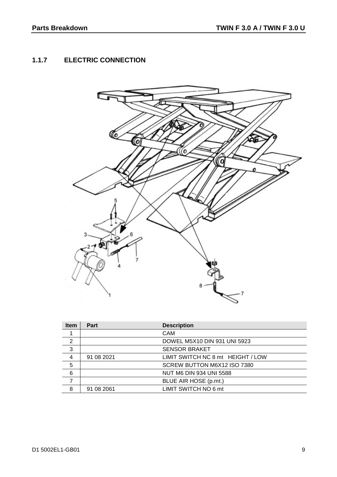## **1.1.7 ELECTRIC CONNECTION**



| <b>Item</b>    | Part       | <b>Description</b>                |
|----------------|------------|-----------------------------------|
|                |            | <b>CAM</b>                        |
| 2              |            | DOWEL M5X10 DIN 931 UNI 5923      |
| 3              |            | <b>SENSOR BRAKET</b>              |
| $\overline{4}$ | 91 08 2021 | LIMIT SWITCH NC 8 mt HEIGHT / LOW |
| 5              |            | SCREW BUTTON M6X12 ISO 7380       |
| 6              |            | <b>NUT M6 DIN 934 UNI 5588</b>    |
|                |            | BLUE AIR HOSE (p.mt.)             |
| 8              | 91 08 2061 | LIMIT SWITCH NO 6 mt              |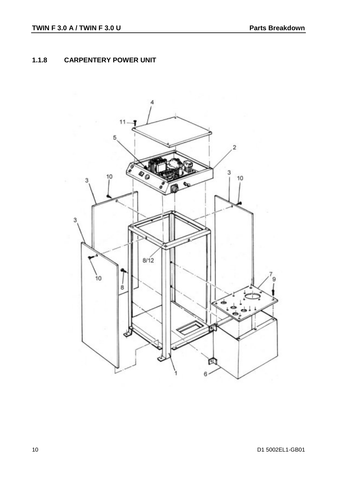### **1.1.8 CARPENTERY POWER UNIT**

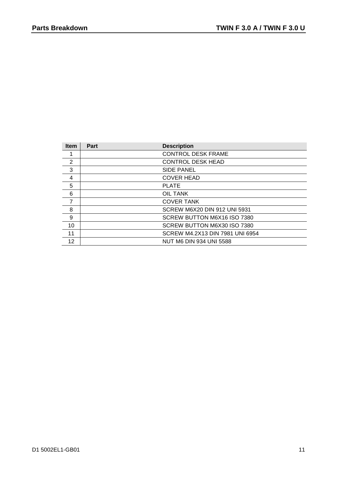| <b>Item</b>    | Part | <b>Description</b>                  |
|----------------|------|-------------------------------------|
|                |      | <b>CONTROL DESK FRAME</b>           |
| 2              |      | <b>CONTROL DESK HEAD</b>            |
| 3              |      | <b>SIDE PANEL</b>                   |
| 4              |      | <b>COVER HEAD</b>                   |
| 5              |      | <b>PLATE</b>                        |
| 6              |      | OIL TANK                            |
| $\overline{7}$ |      | <b>COVER TANK</b>                   |
| 8              |      | <b>SCREW M6X20 DIN 912 UNI 5931</b> |
| 9              |      | SCREW BUTTON M6X16 ISO 7380         |
| 10             |      | SCREW BUTTON M6X30 ISO 7380         |
| 11             |      | SCREW M4.2X13 DIN 7981 UNI 6954     |
| 12             |      | <b>NUT M6 DIN 934 UNI 5588</b>      |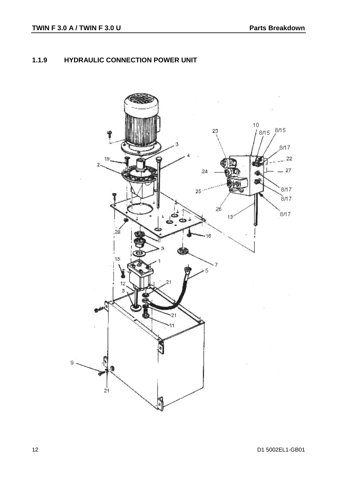### **1.1.9 HYDRAULIC CONNECTION POWER UNIT**

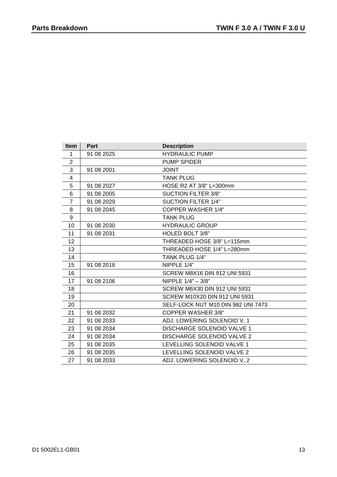| <b>Item</b>    | Part       | <b>Description</b>                   |
|----------------|------------|--------------------------------------|
| 1              | 91 08 2025 | <b>HYDRAULIC PUMP</b>                |
| $\overline{2}$ |            | <b>PUMP SPIDER</b>                   |
| 3              | 91 08 2001 | <b>JOINT</b>                         |
| 4              |            | <b>TANK PLUG</b>                     |
| 5              | 91 08 2027 | HOSE R2 AT 3/8" L=300mm              |
| 6              | 91 08 2005 | <b>SUCTION FILTER 3/8"</b>           |
| $\overline{7}$ | 91 08 2029 | <b>SUCTION FILTER 1/4"</b>           |
| 8              | 91 08 2045 | <b>COPPER WASHER 1/4"</b>            |
| 9              |            | <b>TANK PLUG</b>                     |
| 10             | 91 08 2030 | <b>HYDRAULIC GROUP</b>               |
| 11             | 91 08 2031 | HOLED BOLT 3/8"                      |
| 12             |            | THREADED HOSE 3/8" L=115mm           |
| 13             |            | THREADED HOSE 1/4" L=280mm           |
| 14             |            | TANK PLUG 1/4"                       |
| 15             | 91 08 2018 | NIPPLE 1/4"                          |
| 16             |            | <b>SCREW M8X16 DIN 912 UNI 5931</b>  |
| 17             | 91 08 2106 | NIPPLE 1/4" - 3/8"                   |
| 18             |            | <b>SCREW M6X30 DIN 912 UNI 5931</b>  |
| 19             |            | <b>SCREW M10X20 DIN 912 UNI 5931</b> |
| 20             |            | SELF-LOCK NUT M10 DIN 982 UNI 7473   |
| 21             | 91 08 2032 | <b>COPPER WASHER 3/8"</b>            |
| 22             | 91 08 2033 | ADJ. LOWERING SOLENOID V, 1          |
| 23             | 91 08 2034 | <b>DISCHARGE SOLENOID VALVE 1</b>    |
| 24             | 91 08 2034 | DISCHARGE SOLENOID VALVE 2           |
| 25             | 91 08 2035 | LEVELLING SOLENOID VALVE 1           |
| 26             | 91 08 2035 | LEVELLING SOLENOID VALVE 2           |
| 27             | 91 08 2033 | ADJ. LOWERING SOLENOID V, 2          |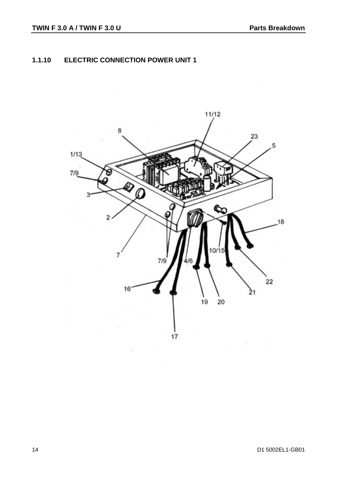### **1.1.10 ELECTRIC CONNECTION POWER UNIT 1**

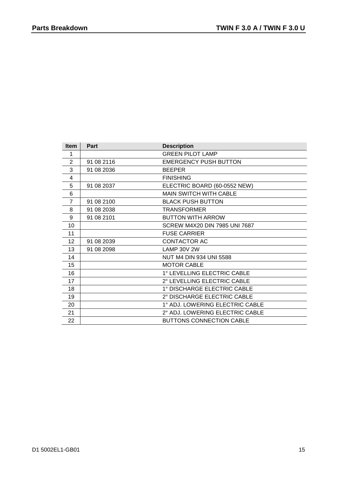| <b>Item</b>    | Part       | <b>Description</b>              |
|----------------|------------|---------------------------------|
| 1              |            | <b>GREEN PILOT LAMP</b>         |
| 2              | 91 08 2116 | <b>EMERGENCY PUSH BUTTON</b>    |
| 3              | 91 08 2036 | <b>BEEPER</b>                   |
| 4              |            | <b>FINISHING</b>                |
| 5              | 91 08 2037 | ELECTRIC BOARD (60-0552 NEW)    |
| 6              |            | <b>MAIN SWITCH WITH CABLE</b>   |
| $\overline{7}$ | 91 08 2100 | <b>BLACK PUSH BUTTON</b>        |
| 8              | 91 08 2038 | <b>TRANSFORMER</b>              |
| 9              | 91 08 2101 | <b>BUTTON WITH ARROW</b>        |
| 10             |            | SCREW M4X20 DIN 7985 UNI 7687   |
| 11             |            | <b>FUSE CARRIER</b>             |
| 12             | 91 08 2039 | CONTACTOR AC                    |
| 13             | 91 08 2098 | <b>LAMP 30V 2W</b>              |
| 14             |            | NUT M4 DIN 934 UNI 5588         |
| 15             |            | <b>MOTOR CABLE</b>              |
| 16             |            | 1° LEVELLING ELECTRIC CABLE     |
| 17             |            | 2° LEVELLING ELECTRIC CABLE     |
| 18             |            | 1° DISCHARGE ELECTRIC CABLE     |
| 19             |            | 2° DISCHARGE ELECTRIC CABLE     |
| 20             |            | 1° ADJ. LOWERING ELECTRIC CABLE |
| 21             |            | 2° ADJ. LOWERING ELECTRIC CABLE |
| 22             |            | <b>BUTTONS CONNECTION CABLE</b> |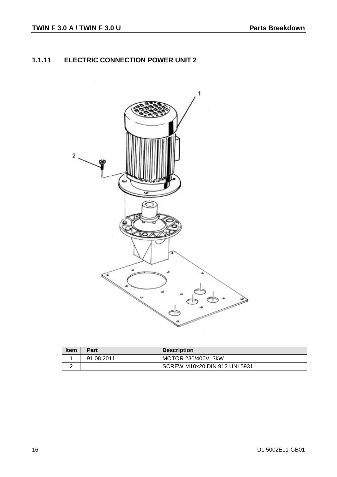## **1.1.11 ELECTRIC CONNECTION POWER UNIT 2**



| <b>Item</b> | Part       | <b>Description</b>            |
|-------------|------------|-------------------------------|
|             | 91 08 2011 | MOTOR 230/400V 3kW            |
| -           |            | SCREW M10x20 DIN 912 UNI 5931 |